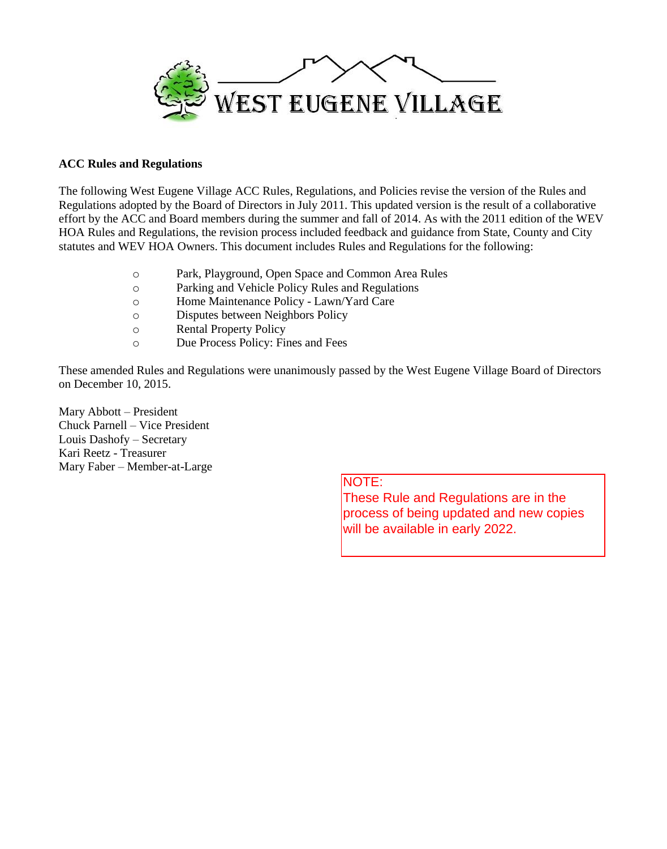

#### **ACC Rules and Regulations**

The following West Eugene Village ACC Rules, Regulations, and Policies revise the version of the Rules and Regulations adopted by the Board of Directors in July 2011. This updated version is the result of a collaborative effort by the ACC and Board members during the summer and fall of 2014. As with the 2011 edition of the WEV HOA Rules and Regulations, the revision process included feedback and guidance from State, County and City statutes and WEV HOA Owners. This document includes Rules and Regulations for the following:

- o Park, Playground, Open Space and Common Area Rules
- o Parking and Vehicle Policy Rules and Regulations
- o Home Maintenance Policy Lawn/Yard Care
- o Disputes between Neighbors Policy
- o Rental Property Policy
- o Due Process Policy: Fines and Fees

These amended Rules and Regulations were unanimously passed by the West Eugene Village Board of Directors on December 10, 2015.

Mary Abbott – President Chuck Parnell – Vice President Louis Dashofy – Secretary Kari Reetz - Treasurer Mary Faber – Member-at-Large

# NOTE:

These Rule and Regulations are in the process of being updated and new copies will be available in early 2022.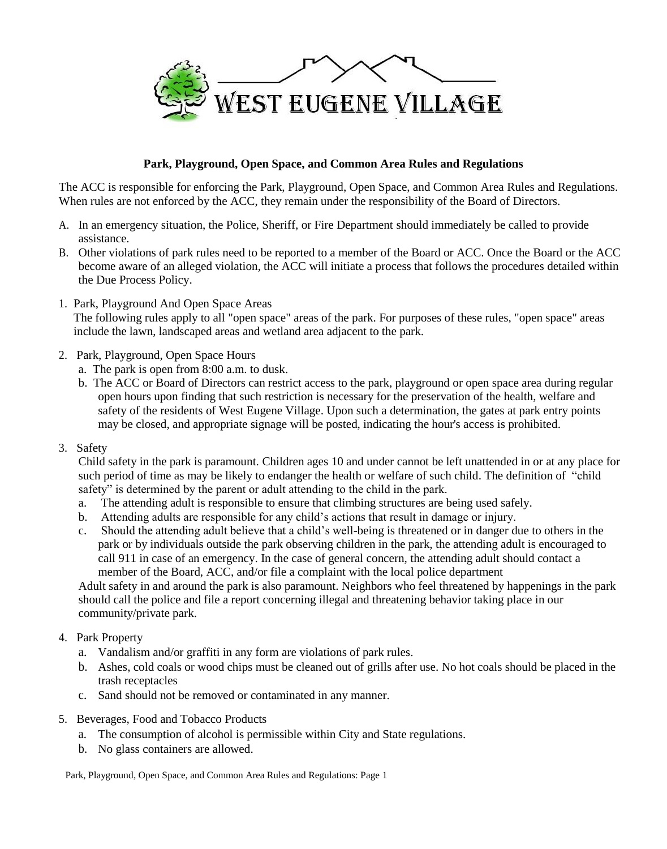

### **Park, Playground, Open Space, and Common Area Rules and Regulations**

The ACC is responsible for enforcing the Park, Playground, Open Space, and Common Area Rules and Regulations. When rules are not enforced by the ACC, they remain under the responsibility of the Board of Directors.

- A. In an emergency situation, the Police, Sheriff, or Fire Department should immediately be called to provide assistance.
- B. Other violations of park rules need to be reported to a member of the Board or ACC. Once the Board or the ACC become aware of an alleged violation, the ACC will initiate a process that follows the procedures detailed within the Due Process Policy.
- 1. Park, Playground And Open Space Areas

The following rules apply to all "open space" areas of the park. For purposes of these rules, "open space" areas include the lawn, landscaped areas and wetland area adjacent to the park.

- 2. Park, Playground, Open Space Hours
	- a. The park is open from 8:00 a.m. to dusk.
	- b. The ACC or Board of Directors can restrict access to the park, playground or open space area during regular open hours upon finding that such restriction is necessary for the preservation of the health, welfare and safety of the residents of West Eugene Village. Upon such a determination, the gates at park entry points may be closed, and appropriate signage will be posted, indicating the hour's access is prohibited.
- 3. Safety

Child safety in the park is paramount. Children ages 10 and under cannot be left unattended in or at any place for such period of time as may be likely to endanger the health or welfare of such child. The definition of "child safety" is determined by the parent or adult attending to the child in the park.

- a. The attending adult is responsible to ensure that climbing structures are being used safely.
- b. Attending adults are responsible for any child's actions that result in damage or injury.
- c. Should the attending adult believe that a child's well-being is threatened or in danger due to others in the park or by individuals outside the park observing children in the park, the attending adult is encouraged to call 911 in case of an emergency. In the case of general concern, the attending adult should contact a member of the Board, ACC, and/or file a complaint with the local police department

Adult safety in and around the park is also paramount. Neighbors who feel threatened by happenings in the park should call the police and file a report concerning illegal and threatening behavior taking place in our community/private park.

- 4. Park Property
	- a. Vandalism and/or graffiti in any form are violations of park rules.
	- b. Ashes, cold coals or wood chips must be cleaned out of grills after use. No hot coals should be placed in the trash receptacles
	- c. Sand should not be removed or contaminated in any manner.
- 5. Beverages, Food and Tobacco Products
	- a. The consumption of alcohol is permissible within City and State regulations.
	- b. No glass containers are allowed.

Park, Playground, Open Space, and Common Area Rules and Regulations: Page 1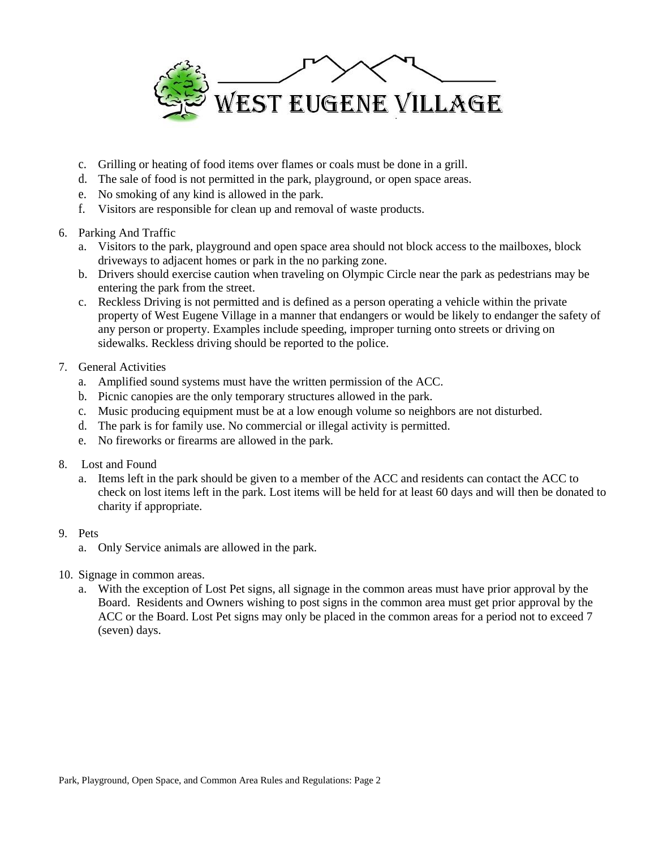

- c. Grilling or heating of food items over flames or coals must be done in a grill.
- d. The sale of food is not permitted in the park, playground, or open space areas.
- e. No smoking of any kind is allowed in the park.
- f. Visitors are responsible for clean up and removal of waste products.
- 6. Parking And Traffic
	- a. Visitors to the park, playground and open space area should not block access to the mailboxes, block driveways to adjacent homes or park in the no parking zone.
	- b. Drivers should exercise caution when traveling on Olympic Circle near the park as pedestrians may be entering the park from the street.
	- c. Reckless Driving is not permitted and is defined as a person operating a vehicle within the private property of West Eugene Village in a manner that endangers or would be likely to endanger the safety of any person or property. Examples include speeding, improper turning onto streets or driving on sidewalks. Reckless driving should be reported to the police.
- 7. General Activities
	- a. Amplified sound systems must have the written permission of the ACC.
	- b. Picnic canopies are the only temporary structures allowed in the park.
	- c. Music producing equipment must be at a low enough volume so neighbors are not disturbed.
	- d. The park is for family use. No commercial or illegal activity is permitted.
	- e. No fireworks or firearms are allowed in the park.
- 8. Lost and Found
	- a. Items left in the park should be given to a member of the ACC and residents can contact the ACC to check on lost items left in the park. Lost items will be held for at least 60 days and will then be donated to charity if appropriate.
- 9. Pets
	- a. Only Service animals are allowed in the park.
- 10. Signage in common areas.
	- a. With the exception of Lost Pet signs, all signage in the common areas must have prior approval by the Board. Residents and Owners wishing to post signs in the common area must get prior approval by the ACC or the Board. Lost Pet signs may only be placed in the common areas for a period not to exceed 7 (seven) days.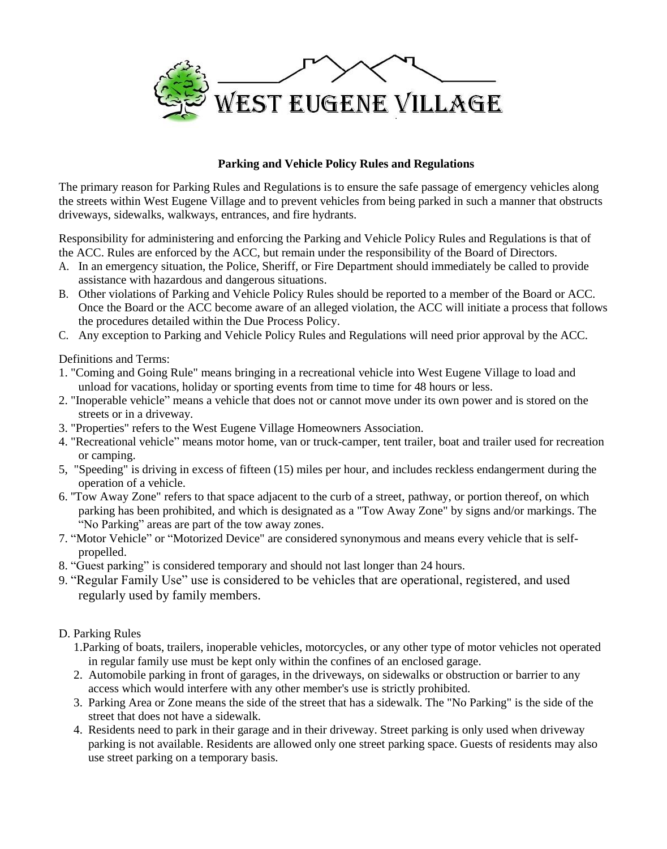

## **Parking and Vehicle Policy Rules and Regulations**

The primary reason for Parking Rules and Regulations is to ensure the safe passage of emergency vehicles along the streets within West Eugene Village and to prevent vehicles from being parked in such a manner that obstructs driveways, sidewalks, walkways, entrances, and fire hydrants.

Responsibility for administering and enforcing the Parking and Vehicle Policy Rules and Regulations is that of the ACC. Rules are enforced by the ACC, but remain under the responsibility of the Board of Directors.

- A. In an emergency situation, the Police, Sheriff, or Fire Department should immediately be called to provide assistance with hazardous and dangerous situations.
- B. Other violations of Parking and Vehicle Policy Rules should be reported to a member of the Board or ACC. Once the Board or the ACC become aware of an alleged violation, the ACC will initiate a process that follows the procedures detailed within the Due Process Policy.
- C. Any exception to Parking and Vehicle Policy Rules and Regulations will need prior approval by the ACC.

Definitions and Terms:

- 1. "Coming and Going Rule" means bringing in a recreational vehicle into West Eugene Village to load and unload for vacations, holiday or sporting events from time to time for 48 hours or less.
- 2. "Inoperable vehicle" means a vehicle that does not or cannot move under its own power and is stored on the streets or in a driveway.
- 3. "Properties" refers to the West Eugene Village Homeowners Association.
- 4. "Recreational vehicle" means motor home, van or truck-camper, tent trailer, boat and trailer used for recreation or camping.
- 5, "Speeding" is driving in excess of fifteen (15) miles per hour, and includes reckless endangerment during the operation of a vehicle.
- 6. ''Tow Away Zone" refers to that space adjacent to the curb of a street, pathway, or portion thereof, on which parking has been prohibited, and which is designated as a "Tow Away Zone" by signs and/or markings. The "No Parking" areas are part of the tow away zones.
- 7. "Motor Vehicle" or "Motorized Device" are considered synonymous and means every vehicle that is selfpropelled.
- 8. "Guest parking" is considered temporary and should not last longer than 24 hours.
- 9. "Regular Family Use" use is considered to be vehicles that are operational, registered, and used regularly used by family members.
- D. Parking Rules
	- 1.Parking of boats, trailers, inoperable vehicles, motorcycles, or any other type of motor vehicles not operated in regular family use must be kept only within the confines of an enclosed garage.
	- 2. Automobile parking in front of garages, in the driveways, on sidewalks or obstruction or barrier to any access which would interfere with any other member's use is strictly prohibited.
	- 3. Parking Area or Zone means the side of the street that has a sidewalk. The "No Parking" is the side of the street that does not have a sidewalk.
	- 4. Residents need to park in their garage and in their driveway. Street parking is only used when driveway parking is not available. Residents are allowed only one street parking space. Guests of residents may also use street parking on a temporary basis.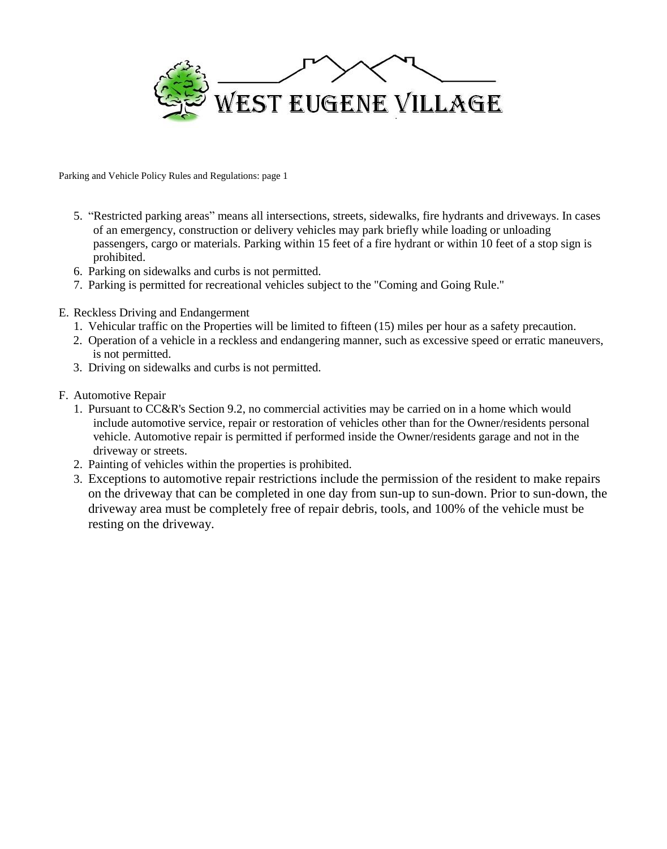

Parking and Vehicle Policy Rules and Regulations: page 1

- 5. "Restricted parking areas" means all intersections, streets, sidewalks, fire hydrants and driveways. In cases of an emergency, construction or delivery vehicles may park briefly while loading or unloading passengers, cargo or materials. Parking within 15 feet of a fire hydrant or within 10 feet of a stop sign is prohibited.
- 6. Parking on sidewalks and curbs is not permitted.
- 7. Parking is permitted for recreational vehicles subject to the "Coming and Going Rule."
- E. Reckless Driving and Endangerment
	- 1. Vehicular traffic on the Properties will be limited to fifteen (15) miles per hour as a safety precaution.
	- 2. Operation of a vehicle in a reckless and endangering manner, such as excessive speed or erratic maneuvers, is not permitted.
	- 3. Driving on sidewalks and curbs is not permitted.
- F. Automotive Repair
	- 1. Pursuant to CC&R's Section 9.2, no commercial activities may be carried on in a home which would include automotive service, repair or restoration of vehicles other than for the Owner/residents personal vehicle. Automotive repair is permitted if performed inside the Owner/residents garage and not in the driveway or streets.
	- 2. Painting of vehicles within the properties is prohibited.
	- 3. Exceptions to automotive repair restrictions include the permission of the resident to make repairs on the driveway that can be completed in one day from sun-up to sun-down. Prior to sun-down, the driveway area must be completely free of repair debris, tools, and 100% of the vehicle must be resting on the driveway.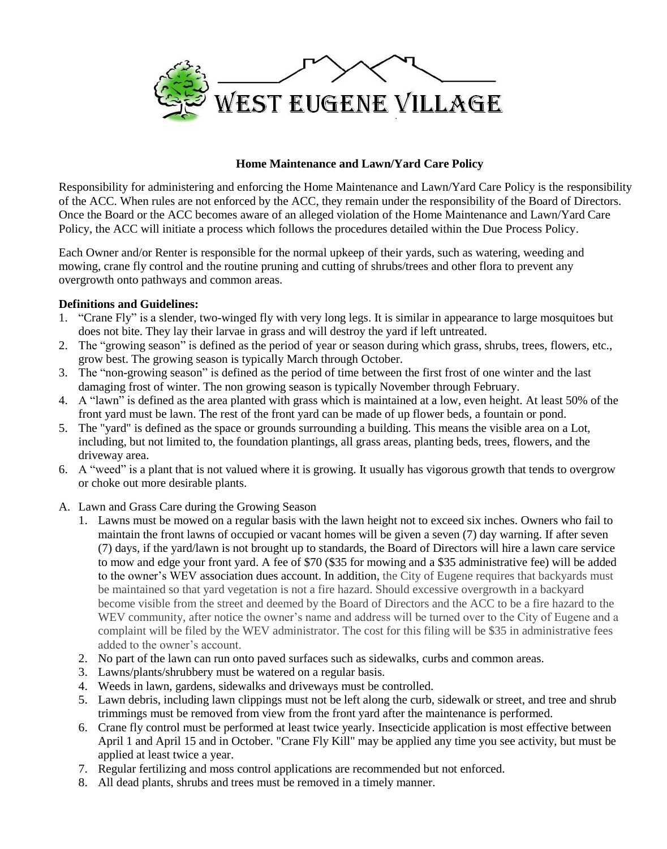

## **Home Maintenance and Lawn/Yard Care Policy**

Responsibility for administering and enforcing the Home Maintenance and Lawn/Yard Care Policy is the responsibility of the ACC. When rules are not enforced by the ACC, they remain under the responsibility of the Board of Directors. Once the Board or the ACC becomes aware of an alleged violation of the Home Maintenance and Lawn/Yard Care Policy, the ACC will initiate a process which follows the procedures detailed within the Due Process Policy.

Each Owner and/or Renter is responsible for the normal upkeep of their yards, such as watering, weeding and mowing, crane fly control and the routine pruning and cutting of shrubs/trees and other flora to prevent any overgrowth onto pathways and common areas.

### **Definitions and Guidelines:**

- 1. "Crane Fly" is a slender, two-winged fly with very long legs. It is similar in appearance to large mosquitoes but does not bite. They lay their larvae in grass and will destroy the yard if left untreated.
- 2. The "growing season" is defined as the period of year or season during which grass, shrubs, trees, flowers, etc., grow best. The growing season is typically March through October.
- 3. The "non-growing season" is defined as the period of time between the first frost of one winter and the last damaging frost of winter. The non growing season is typically November through February.
- 4. A "lawn" is defined as the area planted with grass which is maintained at a low, even height. At least 50% of the front yard must be lawn. The rest of the front yard can be made of up flower beds, a fountain or pond.
- 5. The "yard" is defined as the space or grounds surrounding a building. This means the visible area on a Lot, including, but not limited to, the foundation plantings, all grass areas, planting beds, trees, flowers, and the driveway area.
- 6. A "weed" is a plant that is not valued where it is growing. It usually has vigorous growth that tends to overgrow or choke out more desirable plants.
- A. Lawn and Grass Care during the Growing Season
	- 1. Lawns must be mowed on a regular basis with the lawn height not to exceed six inches. Owners who fail to maintain the front lawns of occupied or vacant homes will be given a seven (7) day warning. If after seven (7) days, if the yard/lawn is not brought up to standards, the Board of Directors will hire a lawn care service to mow and edge your front yard. A fee of \$70 (\$35 for mowing and a \$35 administrative fee) will be added to the owner's WEV association dues account. In addition, the City of Eugene requires that backyards must be maintained so that yard vegetation is not a fire hazard. Should excessive overgrowth in a backyard become visible from the street and deemed by the Board of Directors and the ACC to be a fire hazard to the WEV community, after notice the owner's name and address will be turned over to the City of Eugene and a complaint will be filed by the WEV administrator. The cost for this filing will be \$35 in administrative fees added to the owner's account.
	- 2. No part of the lawn can run onto paved surfaces such as sidewalks, curbs and common areas.
	- 3. Lawns/plants/shrubbery must be watered on a regular basis.
	- 4. Weeds in lawn, gardens, sidewalks and driveways must be controlled.
	- 5. Lawn debris, including lawn clippings must not be left along the curb, sidewalk or street, and tree and shrub trimmings must be removed from view from the front yard after the maintenance is performed.
	- 6. Crane fly control must be performed at least twice yearly. Insecticide application is most effective between April 1 and April 15 and in October. "Crane Fly Kill" may be applied any time you see activity, but must be applied at least twice a year.
	- 7. Regular fertilizing and moss control applications are recommended but not enforced.
	- 8. All dead plants, shrubs and trees must be removed in a timely manner.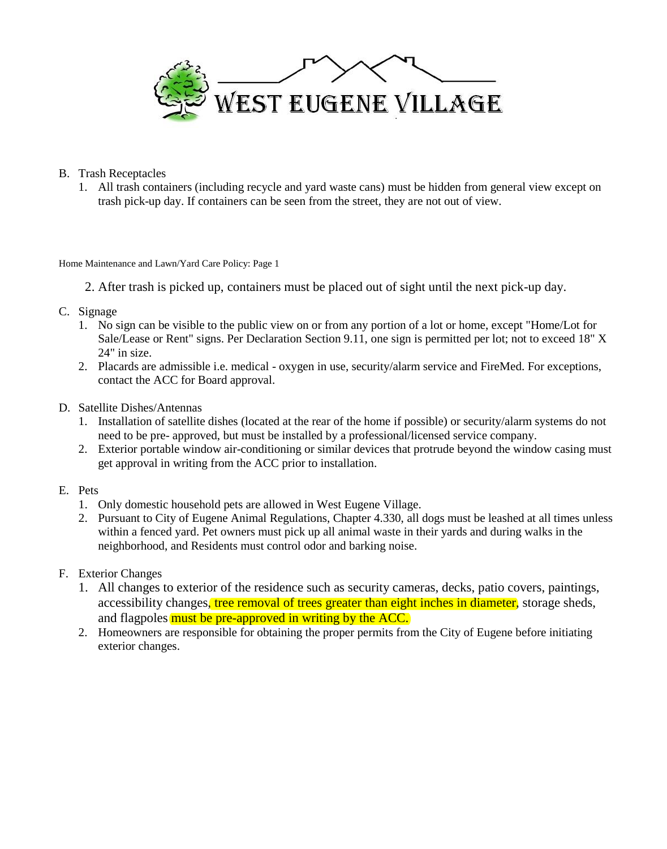

- B. Trash Receptacles
	- 1. All trash containers (including recycle and yard waste cans) must be hidden from general view except on trash pick-up day. If containers can be seen from the street, they are not out of view.

#### Home Maintenance and Lawn/Yard Care Policy: Page 1

- 2. After trash is picked up, containers must be placed out of sight until the next pick-up day.
- C. Signage
	- 1. No sign can be visible to the public view on or from any portion of a lot or home, except "Home/Lot for Sale/Lease or Rent" signs. Per Declaration Section 9.11, one sign is permitted per lot; not to exceed 18" X 24" in size.
	- 2. Placards are admissible i.e. medical oxygen in use, security/alarm service and FireMed. For exceptions, contact the ACC for Board approval.
- D. Satellite Dishes/Antennas
	- 1. Installation of satellite dishes (located at the rear of the home if possible) or security/alarm systems do not need to be pre- approved, but must be installed by a professional/licensed service company.
	- 2. Exterior portable window air-conditioning or similar devices that protrude beyond the window casing must get approval in writing from the ACC prior to installation.
- E. Pets
	- 1. Only domestic household pets are allowed in West Eugene Village.
	- 2. Pursuant to City of Eugene Animal Regulations, Chapter 4.330, all dogs must be leashed at all times unless within a fenced yard. Pet owners must pick up all animal waste in their yards and during walks in the neighborhood, and Residents must control odor and barking noise.
- F. Exterior Changes
	- 1. All changes to exterior of the residence such as security cameras, decks, patio covers, paintings, accessibility changes, tree removal of trees greater than eight inches in diameter, storage sheds, and flagpoles must be pre-approved in writing by the ACC.
	- 2. Homeowners are responsible for obtaining the proper permits from the City of Eugene before initiating exterior changes.